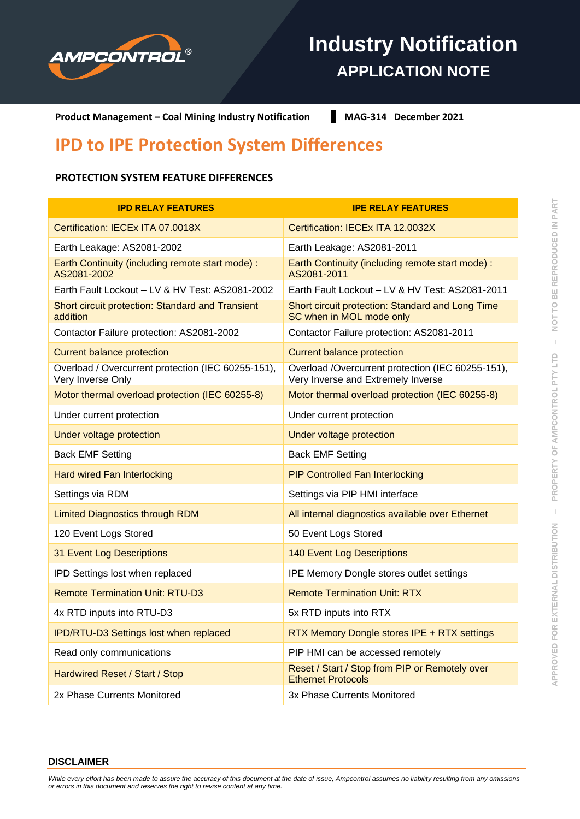

# **Industry Notification APPLICATION NOTE**

**Product Management – Coal Mining Industry Notification MAG-314 December 2021** 

## **IPD to IPE Protection System Differences**

### **PROTECTION SYSTEM FEATURE DIFFERENCES**

| <b>IPD RELAY FEATURES</b>                                               | <b>IPE RELAY FEATURES</b>                                                               |
|-------------------------------------------------------------------------|-----------------------------------------------------------------------------------------|
| Certification: IECEx ITA 07.0018X                                       | Certification: IECEx ITA 12.0032X                                                       |
| Earth Leakage: AS2081-2002                                              | Earth Leakage: AS2081-2011                                                              |
| Earth Continuity (including remote start mode) :<br>AS2081-2002         | Earth Continuity (including remote start mode) :<br>AS2081-2011                         |
| Earth Fault Lockout - LV & HV Test: AS2081-2002                         | Earth Fault Lockout - LV & HV Test: AS2081-2011                                         |
| Short circuit protection: Standard and Transient<br>addition            | Short circuit protection: Standard and Long Time<br>SC when in MOL mode only            |
| Contactor Failure protection: AS2081-2002                               | Contactor Failure protection: AS2081-2011                                               |
| <b>Current balance protection</b>                                       | <b>Current balance protection</b>                                                       |
| Overload / Overcurrent protection (IEC 60255-151),<br>Very Inverse Only | Overload /Overcurrent protection (IEC 60255-151),<br>Very Inverse and Extremely Inverse |
| Motor thermal overload protection (IEC 60255-8)                         | Motor thermal overload protection (IEC 60255-8)                                         |
| Under current protection                                                | Under current protection                                                                |
| Under voltage protection                                                | Under voltage protection                                                                |
| <b>Back EMF Setting</b>                                                 | <b>Back EMF Setting</b>                                                                 |
| <b>Hard wired Fan Interlocking</b>                                      | <b>PIP Controlled Fan Interlocking</b>                                                  |
| Settings via RDM                                                        | Settings via PIP HMI interface                                                          |
| <b>Limited Diagnostics through RDM</b>                                  | All internal diagnostics available over Ethernet                                        |
| 120 Event Logs Stored                                                   | 50 Event Logs Stored                                                                    |
| 31 Event Log Descriptions                                               | <b>140 Event Log Descriptions</b>                                                       |
| IPD Settings lost when replaced                                         | <b>IPE Memory Dongle stores outlet settings</b>                                         |
| <b>Remote Termination Unit: RTU-D3</b>                                  | <b>Remote Termination Unit: RTX</b>                                                     |
| 4x RTD inputs into RTU-D3                                               | 5x RTD inputs into RTX                                                                  |
| <b>IPD/RTU-D3 Settings lost when replaced</b>                           | RTX Memory Dongle stores IPE + RTX settings                                             |
| Read only communications                                                | PIP HMI can be accessed remotely                                                        |
| Hardwired Reset / Start / Stop                                          | Reset / Start / Stop from PIP or Remotely over<br><b>Ethernet Protocols</b>             |
| 2x Phase Currents Monitored                                             | 3x Phase Currents Monitored                                                             |

*While every effort has been made to assure the accuracy of this document at the date of issue, Ampcontrol assumes no liability resulting from any omissions or errors in this document and reserves the right to revise content at any time.*